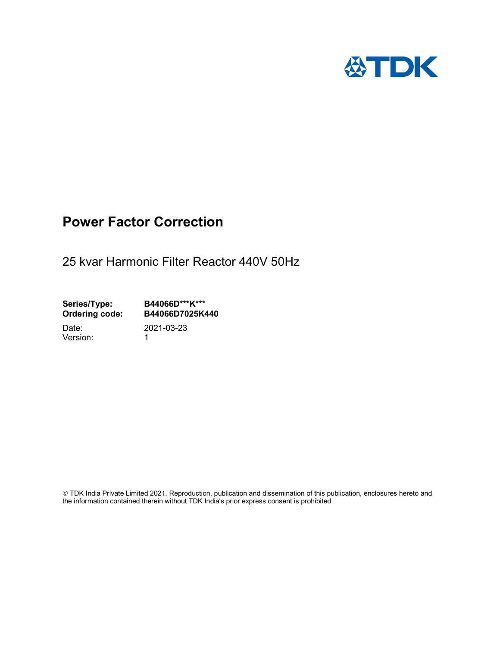

## Power Factor Correction

25 kvar Harmonic Filter Reactor 440V 50Hz

Series/Type: B44066D\*\*\*K\*\*\*<br>Ordering code: B44066D7025K4 B44066D7025K440

Version: 1

Date: 2021-03-23

 TDK India Private Limited 2021. Reproduction, publication and dissemination of this publication, enclosures hereto and the information contained therein without TDK India's prior express consent is prohibited.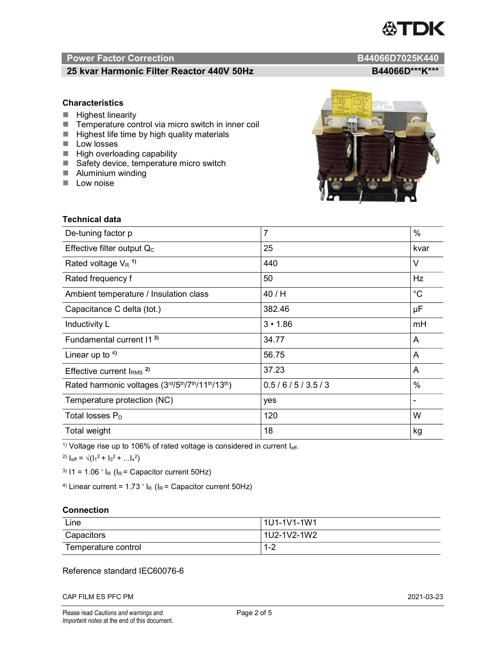# **ASTDK**

#### Power Factor Correction and B44066D7025K440

### 25 kvar Harmonic Filter Reactor 440V 50Hz<br>B44066D\*\*\*K\*\*\*

#### **Characteristics**

- $H$  Highest linearity
- Temperature control via micro switch in inner coil
- $\blacksquare$  Highest life time by high quality materials
- **Low** losses
- $\blacksquare$  High overloading capability
- Safety device, temperature micro switch
- **Aluminium winding**
- **Low noise**

| $\frac{1}{2}$<br>٠<br>ko-<br><b>Prime</b><br>catachies<br>٠ | OF YORD REACTOR THEIRAL BRITISH CORNECTION<br>In CASE OF PSW<br>40<br><b>The Bay</b><br>CD<br><b>STATE</b><br>٠<br>$\mathbf{r}$<br><b>SECRET LOS</b><br>w<br>co-<br><b>Birth In British</b><br>÷.<br>м<br>President dealers.<br>÷<br>٠<br><b>STAND</b><br>۰. |  |
|-------------------------------------------------------------|--------------------------------------------------------------------------------------------------------------------------------------------------------------------------------------------------------------------------------------------------------------|--|
| THE PARTY OF SHAPPING                                       | <b>Thread Gar</b>                                                                                                                                                                                                                                            |  |
|                                                             |                                                                                                                                                                                                                                                              |  |
|                                                             |                                                                                                                                                                                                                                                              |  |

 $\sqrt{2}$ 

| Technical data                                  |                |             |  |  |
|-------------------------------------------------|----------------|-------------|--|--|
| De-tuning factor p                              | $\overline{7}$ | $\%$        |  |  |
| Effective filter output $Q_C$                   | 25             | kvar        |  |  |
| Rated voltage $V_R$ <sup>1)</sup>               | 440            | V           |  |  |
| Rated frequency f                               | 50             | Hz          |  |  |
| Ambient temperature / Insulation class          | 40 / H         | $^{\circ}C$ |  |  |
| Capacitance C delta (tot.)                      | 382.46         | μF          |  |  |
| Inductivity L                                   | $3 \cdot 1.86$ | mH          |  |  |
| Fundamental current 11 <sup>3)</sup>            | 34.77          | A           |  |  |
| Linear up to $4$ )                              | 56.75          | A           |  |  |
| Effective current $IRMS$ <sup>2)</sup>          | 37.23          | A           |  |  |
| Rated harmonic voltages (3rd/5th/7th/11th/13th) | 0.5/6/5/3.5/3  | $\%$        |  |  |
| Temperature protection (NC)                     | yes            |             |  |  |
| Total losses $P_D$                              | 120            | W           |  |  |
| Total weight                                    | 18             | kg          |  |  |

<sup>1)</sup> Voltage rise up to 106% of rated voltage is considered in current  $I_{\text{eff}}$ .

<sup>2)</sup>  $I_{eff} = \sqrt{(I_1^2 + I_3^2 + ... I_x^2)}$ 

<sup>3)</sup>  $11 = 1.06$   $\cdot$   $I_R$  ( $I_R$  = Capacitor current 50Hz)

<sup>4)</sup> Linear current =  $1.73$   $\cdot$  I<sub>R</sub> (I<sub>R</sub> = Capacitor current 50Hz)

#### **Connection**

| Line                | 1U1-1V1-1W1   |
|---------------------|---------------|
| Capacitors          | l 1U2-1V2-1W2 |
| Temperature control | 1 O<br>ے- ا   |

#### Reference standard IEC60076-6

CAP FILM ES PFC PM 2021-03-23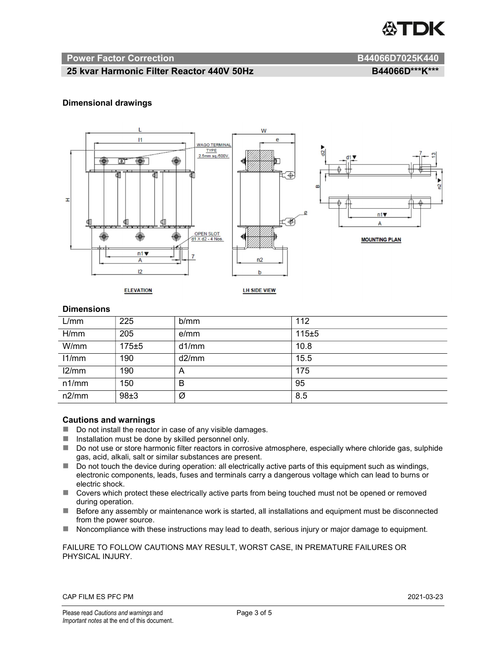

#### Power Factor Correction and B44066D7025K440

#### 25 kvar Harmonic Filter Reactor 440V 50Hz BA4066D\*\*\*K\*\*\*

#### Dimensional drawings



#### **Dimensions**

| L/mm  | 225   | b/mm  | 112   |
|-------|-------|-------|-------|
| H/mm  | 205   | e/mm  | 115±5 |
| W/mm  | 175±5 | d1/mm | 10.8  |
| 11/mm | 190   | d2/mm | 15.5  |
| 12/mm | 190   | A     | 175   |
| n1/mm | 150   | B     | 95    |
| n2/mm | 98±3  | Ø     | 8.5   |

#### Cautions and warnings

- Do not install the reactor in case of any visible damages.
- $\blacksquare$  Installation must be done by skilled personnel only.
- Do not use or store harmonic filter reactors in corrosive atmosphere, especially where chloride gas, sulphide gas, acid, alkali, salt or similar substances are present.
- $\Box$  Do not touch the device during operation: all electrically active parts of this equipment such as windings, electronic components, leads, fuses and terminals carry a dangerous voltage which can lead to burns or electric shock.
- Covers which protect these electrically active parts from being touched must not be opened or removed during operation.
- Before any assembly or maintenance work is started, all installations and equipment must be disconnected from the power source.
- Noncompliance with these instructions may lead to death, serious injury or major damage to equipment.

#### FAILURE TO FOLLOW CAUTIONS MAY RESULT, WORST CASE, IN PREMATURE FAILURES OR PHYSICAL INJURY.

#### CAP FILM ES PFC PM 2021-03-23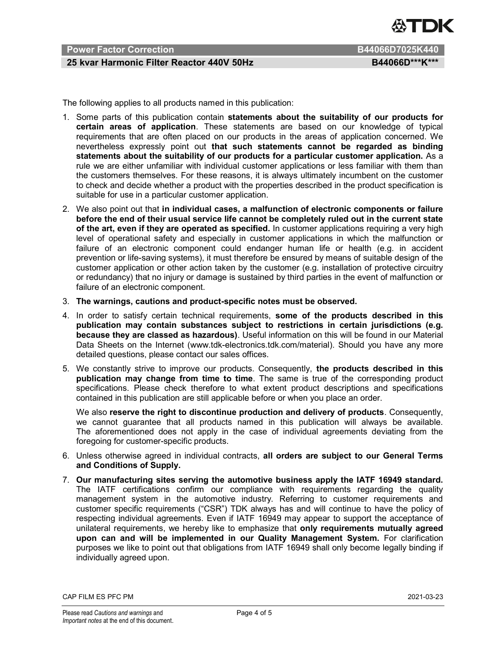

#### Power Factor Correction **B44066D7025K440**

#### 25 kvar Harmonic Filter Reactor 440V 50Hz BA4066D\*\*\*K\*\*\*

The following applies to all products named in this publication:

- 1. Some parts of this publication contain statements about the suitability of our products for certain areas of application. These statements are based on our knowledge of typical requirements that are often placed on our products in the areas of application concerned. We nevertheless expressly point out that such statements cannot be regarded as binding statements about the suitability of our products for a particular customer application. As a rule we are either unfamiliar with individual customer applications or less familiar with them than the customers themselves. For these reasons, it is always ultimately incumbent on the customer to check and decide whether a product with the properties described in the product specification is suitable for use in a particular customer application.
- 2. We also point out that in individual cases, a malfunction of electronic components or failure before the end of their usual service life cannot be completely ruled out in the current state of the art, even if they are operated as specified. In customer applications requiring a very high level of operational safety and especially in customer applications in which the malfunction or failure of an electronic component could endanger human life or health (e.g. in accident prevention or life-saving systems), it must therefore be ensured by means of suitable design of the customer application or other action taken by the customer (e.g. installation of protective circuitry or redundancy) that no injury or damage is sustained by third parties in the event of malfunction or failure of an electronic component.
- 3. The warnings, cautions and product-specific notes must be observed.
- 4. In order to satisfy certain technical requirements, some of the products described in this publication may contain substances subject to restrictions in certain jurisdictions (e.g. because they are classed as hazardous). Useful information on this will be found in our Material Data Sheets on the Internet (www.tdk-electronics.tdk.com/material). Should you have any more detailed questions, please contact our sales offices.
- 5. We constantly strive to improve our products. Consequently, the products described in this publication may change from time to time. The same is true of the corresponding product specifications. Please check therefore to what extent product descriptions and specifications contained in this publication are still applicable before or when you place an order.

We also reserve the right to discontinue production and delivery of products. Consequently, we cannot guarantee that all products named in this publication will always be available. The aforementioned does not apply in the case of individual agreements deviating from the foregoing for customer-specific products.

- 6. Unless otherwise agreed in individual contracts, all orders are subject to our General Terms and Conditions of Supply.
- 7. Our manufacturing sites serving the automotive business apply the IATF 16949 standard. The IATF certifications confirm our compliance with requirements regarding the quality management system in the automotive industry. Referring to customer requirements and customer specific requirements ("CSR") TDK always has and will continue to have the policy of respecting individual agreements. Even if IATF 16949 may appear to support the acceptance of unilateral requirements, we hereby like to emphasize that only requirements mutually agreed upon can and will be implemented in our Quality Management System. For clarification purposes we like to point out that obligations from IATF 16949 shall only become legally binding if individually agreed upon.